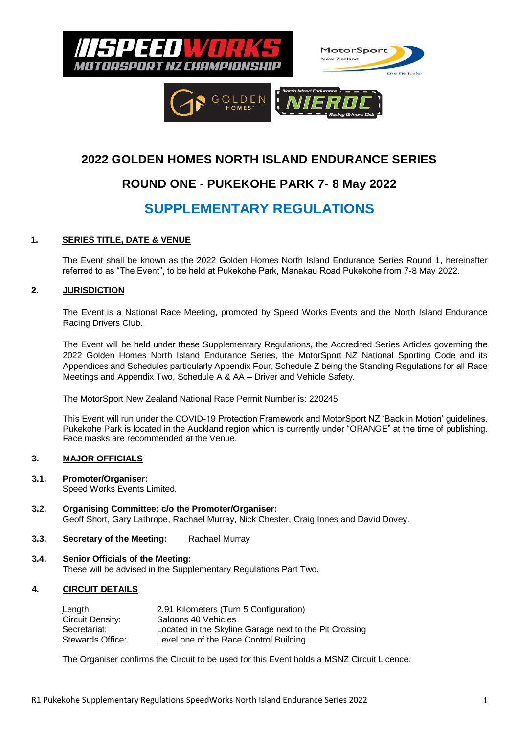

## **2022 GOLDEN HOMES NORTH ISLAND ENDURANCE SERIES**

# **ROUND ONE - PUKEKOHE PARK 7- 8 May 2022**

# **SUPPLEMENTARY REGULATIONS**

## **1. SERIES TITLE, DATE & VENUE**

The Event shall be known as the 2022 Golden Homes North Island Endurance Series Round 1, hereinafter referred to as "The Event", to be held at Pukekohe Park, Manakau Road Pukekohe from 7-8 May 2022.

## **2. JURISDICTION**

The Event is a National Race Meeting, promoted by Speed Works Events and the North Island Endurance Racing Drivers Club.

The Event will be held under these Supplementary Regulations, the Accredited Series Articles governing the 2022 Golden Homes North Island Endurance Series, the MotorSport NZ National Sporting Code and its Appendices and Schedules particularly Appendix Four, Schedule Z being the Standing Regulations for all Race Meetings and Appendix Two, Schedule A & AA – Driver and Vehicle Safety.

The MotorSport New Zealand National Race Permit Number is: 220245

This Event will run under the COVID-19 Protection Framework and MotorSport NZ 'Back in Motion' guidelines. Pukekohe Park is located in the Auckland region which is currently under "ORANGE" at the time of publishing. Face masks are recommended at the Venue.

## **3. MAJOR OFFICIALS**

- **3.1. Promoter/Organiser:** Speed Works Events Limited.
- **3.2. Organising Committee: c/o the Promoter/Organiser:** Geoff Short, Gary Lathrope, Rachael Murray, Nick Chester, Craig Innes and David Dovey.
- **3.3. Secretary of the Meeting:** Rachael Murray
- **3.4. Senior Officials of the Meeting:** These will be advised in the Supplementary Regulations Part Two.

## **4. CIRCUIT DETAILS**

| Length:          | 2.91 Kilometers (Turn 5 Configuration)                 |
|------------------|--------------------------------------------------------|
| Circuit Density: | Saloons 40 Vehicles                                    |
| Secretariat:     | Located in the Skyline Garage next to the Pit Crossing |
| Stewards Office: | Level one of the Race Control Building                 |

The Organiser confirms the Circuit to be used for this Event holds a MSNZ Circuit Licence.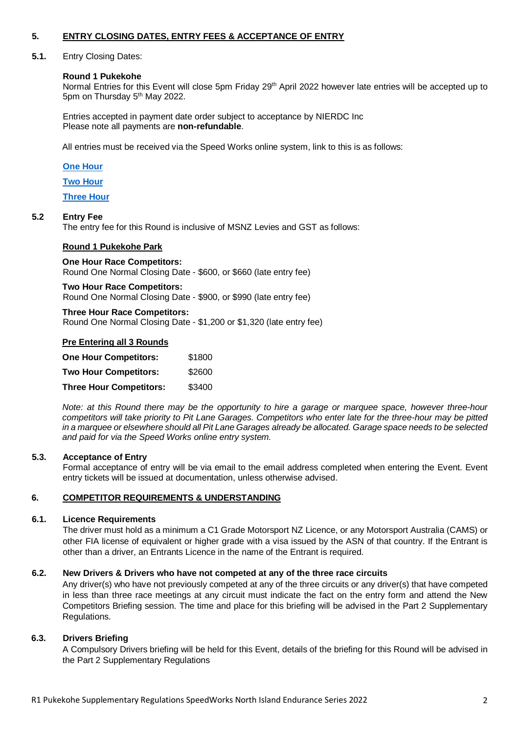## **5. ENTRY CLOSING DATES, ENTRY FEES & ACCEPTANCE OF ENTRY**

#### **5.1.** Entry Closing Dates:

#### **Round 1 Pukekohe**

Normal Entries for this Event will close 5pm Friday 29<sup>th</sup> April 2022 however late entries will be accepted up to 5pm on Thursday 5<sup>th</sup> May 2022.

Entries accepted in payment date order subject to acceptance by NIERDC Inc Please note all payments are **non-refundable**.

All entries must be received via the Speed Works online system, link to this is as follows:

#### **[One Hour](https://docs.google.com/forms/d/e/1FAIpQLSezSuez6uL4-XgPWKxU9xKLB_peeKNsuTEgyR-GgKFmCyWvGA/viewform)**

**[Two Hour](https://docs.google.com/forms/d/e/1FAIpQLScgcrrlCMCPjjKA61GhcdO0usmL3PEb3KbLdJBknPbDhVghUg/viewform)**

**[Three Hour](https://docs.google.com/forms/d/e/1FAIpQLSfSHAFFnLsjzMYkVFGFOheLJHKi2H-ehsYBjv8l5L2x5pwdPw/viewform)**

## **5.2 Entry Fee**

The entry fee for this Round is inclusive of MSNZ Levies and GST as follows:

#### **Round 1 Pukekohe Park**

#### **One Hour Race Competitors:** Round One Normal Closing Date - \$600, or \$660 (late entry fee)

**Two Hour Race Competitors:** Round One Normal Closing Date - \$900, or \$990 (late entry fee)

#### **Three Hour Race Competitors:**

Round One Normal Closing Date - \$1,200 or \$1,320 (late entry fee)

#### **Pre Entering all 3 Rounds**

| <b>One Hour Competitors:</b>   | \$1800 |
|--------------------------------|--------|
| <b>Two Hour Competitors:</b>   | \$2600 |
| <b>Three Hour Competitors:</b> | \$3400 |

*Note: at this Round there may be the opportunity to hire a garage or marquee space, however three-hour competitors will take priority to Pit Lane Garages. Competitors who enter late for the three-hour may be pitted in a marquee or elsewhere should all Pit Lane Garages already be allocated. Garage space needs to be selected and paid for via the Speed Works online entry system.*

#### **5.3. Acceptance of Entry**

Formal acceptance of entry will be via email to the email address completed when entering the Event. Event entry tickets will be issued at documentation, unless otherwise advised.

## **6. COMPETITOR REQUIREMENTS & UNDERSTANDING**

#### **6.1. Licence Requirements**

The driver must hold as a minimum a C1 Grade Motorsport NZ Licence, or any Motorsport Australia (CAMS) or other FIA license of equivalent or higher grade with a visa issued by the ASN of that country. If the Entrant is other than a driver, an Entrants Licence in the name of the Entrant is required.

#### **6.2. New Drivers & Drivers who have not competed at any of the three race circuits**

Any driver(s) who have not previously competed at any of the three circuits or any driver(s) that have competed in less than three race meetings at any circuit must indicate the fact on the entry form and attend the New Competitors Briefing session. The time and place for this briefing will be advised in the Part 2 Supplementary Regulations.

#### **6.3. Drivers Briefing**

A Compulsory Drivers briefing will be held for this Event, details of the briefing for this Round will be advised in the Part 2 Supplementary Regulations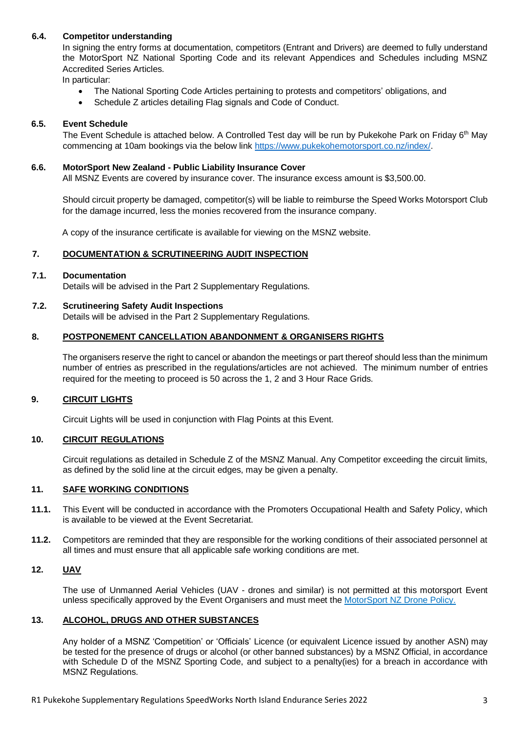## **6.4. Competitor understanding**

In signing the entry forms at documentation, competitors (Entrant and Drivers) are deemed to fully understand the MotorSport NZ National Sporting Code and its relevant Appendices and Schedules including MSNZ Accredited Series Articles.

In particular:

- The National Sporting Code Articles pertaining to protests and competitors' obligations, and
- Schedule Z articles detailing Flag signals and Code of Conduct.

## **6.5. Event Schedule**

The Event Schedule is attached below. A Controlled Test day will be run by Pukekohe Park on Friday 6<sup>th</sup> May commencing at 10am bookings via the below link [https://www.pukekohemotorsport.co.nz/index/.](https://www.pukekohemotorsport.co.nz/index/)

#### **6.6. MotorSport New Zealand - Public Liability Insurance Cover**

All MSNZ Events are covered by insurance cover. The insurance excess amount is \$3,500.00.

Should circuit property be damaged, competitor(s) will be liable to reimburse the Speed Works Motorsport Club for the damage incurred, less the monies recovered from the insurance company.

A copy of the insurance certificate is available for viewing on the MSNZ website.

## **7. DOCUMENTATION & SCRUTINEERING AUDIT INSPECTION**

#### **7.1. Documentation**

Details will be advised in the Part 2 Supplementary Regulations.

#### **7.2. Scrutineering Safety Audit Inspections**

Details will be advised in the Part 2 Supplementary Regulations.

#### **8. POSTPONEMENT CANCELLATION ABANDONMENT & ORGANISERS RIGHTS**

The organisers reserve the right to cancel or abandon the meetings or part thereof should less than the minimum number of entries as prescribed in the regulations/articles are not achieved. The minimum number of entries required for the meeting to proceed is 50 across the 1, 2 and 3 Hour Race Grids.

## **9. CIRCUIT LIGHTS**

Circuit Lights will be used in conjunction with Flag Points at this Event.

#### **10. CIRCUIT REGULATIONS**

Circuit regulations as detailed in Schedule Z of the MSNZ Manual. Any Competitor exceeding the circuit limits, as defined by the solid line at the circuit edges, may be given a penalty.

#### **11. SAFE WORKING CONDITIONS**

- **11.1.** This Event will be conducted in accordance with the Promoters Occupational Health and Safety Policy, which is available to be viewed at the Event Secretariat.
- **11.2.** Competitors are reminded that they are responsible for the working conditions of their associated personnel at all times and must ensure that all applicable safe working conditions are met.

#### **12. UAV**

The use of Unmanned Aerial Vehicles (UAV - drones and similar) is not permitted at this motorsport Event unless specifically approved by the Event Organisers and must meet the MotorSport NZ Drone Policy.

#### **13. ALCOHOL, DRUGS AND OTHER SUBSTANCES**

Any holder of a MSNZ 'Competition' or 'Officials' Licence (or equivalent Licence issued by another ASN) may be tested for the presence of drugs or alcohol (or other banned substances) by a MSNZ Official, in accordance with Schedule D of the MSNZ Sporting Code, and subject to a penalty(ies) for a breach in accordance with MSNZ Regulations.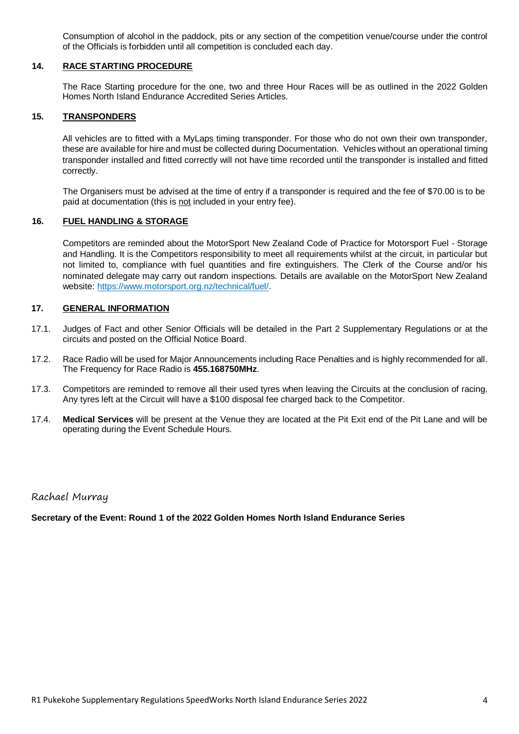Consumption of alcohol in the paddock, pits or any section of the competition venue/course under the control of the Officials is forbidden until all competition is concluded each day.

#### **14. RACE STARTING PROCEDURE**

The Race Starting procedure for the one, two and three Hour Races will be as outlined in the 2022 Golden Homes North Island Endurance Accredited Series Articles.

#### **15. TRANSPONDERS**

All vehicles are to fitted with a MyLaps timing transponder. For those who do not own their own transponder, these are available for hire and must be collected during Documentation. Vehicles without an operational timing transponder installed and fitted correctly will not have time recorded until the transponder is installed and fitted correctly.

The Organisers must be advised at the time of entry if a transponder is required and the fee of \$70.00 is to be paid at documentation (this is not included in your entry fee).

#### **16. FUEL HANDLING & STORAGE**

Competitors are reminded about the MotorSport New Zealand Code of Practice for Motorsport Fuel - Storage and Handling. It is the Competitors responsibility to meet all requirements whilst at the circuit, in particular but not limited to, compliance with fuel quantities and fire extinguishers. The Clerk of the Course and/or his nominated delegate may carry out random inspections. Details are available on the MotorSport New Zealand website: https://www.motorsport.org.nz/technical/fuel/.

#### **17. GENERAL INFORMATION**

- 17.1. Judges of Fact and other Senior Officials will be detailed in the Part 2 Supplementary Regulations or at the circuits and posted on the Official Notice Board.
- 17.2. Race Radio will be used for Major Announcements including Race Penalties and is highly recommended for all. The Frequency for Race Radio is **455.168750MHz**.
- 17.3. Competitors are reminded to remove all their used tyres when leaving the Circuits at the conclusion of racing. Any tyres left at the Circuit will have a \$100 disposal fee charged back to the Competitor.
- 17.4. **Medical Services** will be present at the Venue they are located at the Pit Exit end of the Pit Lane and will be operating during the Event Schedule Hours.

## Rachael Murray

**Secretary of the Event: Round 1 of the 2022 Golden Homes North Island Endurance Series**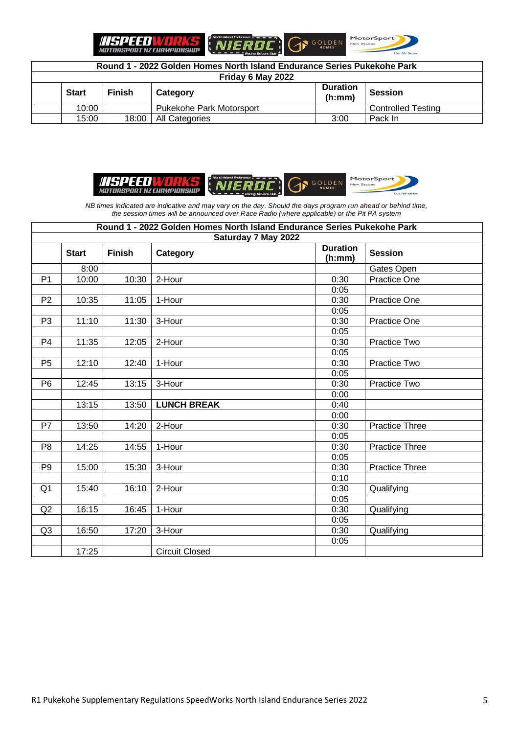**ITEPEED VORKS**<br>MOTORSPORT NZ CHAMPIONSHIP





**Round 1 - 2022 Golden Homes North Island Endurance Series Pukekohe Park Friday 6 May 2022 Start Finish Category Duration (h:mm) Session** 10:00 | Pukekohe Park Motorsport | Controlled Testing 15:00 18:00 All Categories 3:00 Pack In







*NB times indicated are indicative and may vary on the day. Should the days program run ahead or behind time, the session times will be announced over Race Radio (where applicable) or the Pit PA system*

| Round 1 - 2022 Golden Homes North Island Endurance Series Pukekohe Park |              |               |                       |                           |                       |  |
|-------------------------------------------------------------------------|--------------|---------------|-----------------------|---------------------------|-----------------------|--|
| Saturday 7 May 2022                                                     |              |               |                       |                           |                       |  |
|                                                                         | <b>Start</b> | <b>Finish</b> | Category              | <b>Duration</b><br>(h:mm) | <b>Session</b>        |  |
|                                                                         | 8:00         |               |                       |                           | Gates Open            |  |
| P <sub>1</sub>                                                          | 10:00        | 10:30         | 2-Hour                | 0:30                      | <b>Practice One</b>   |  |
|                                                                         |              |               |                       | 0:05                      |                       |  |
| P <sub>2</sub>                                                          | 10:35        | 11:05         | 1-Hour                | 0:30                      | <b>Practice One</b>   |  |
|                                                                         |              |               |                       | 0:05                      |                       |  |
| P <sub>3</sub>                                                          | 11:10        | 11:30         | 3-Hour                | 0:30                      | <b>Practice One</b>   |  |
|                                                                         |              |               |                       | 0:05                      |                       |  |
| P4                                                                      | 11:35        | 12:05         | 2-Hour                | 0:30                      | Practice Two          |  |
|                                                                         |              |               |                       | 0:05                      |                       |  |
| P <sub>5</sub>                                                          | 12:10        | 12:40         | 1-Hour                | 0:30                      | Practice Two          |  |
|                                                                         |              |               |                       | 0:05                      |                       |  |
| P <sub>6</sub>                                                          | 12:45        | 13:15         | 3-Hour                | 0:30                      | Practice Two          |  |
|                                                                         |              |               |                       | 0:00                      |                       |  |
|                                                                         | 13:15        | 13:50         | <b>LUNCH BREAK</b>    | 0:40                      |                       |  |
|                                                                         |              |               |                       | 0:00                      |                       |  |
| P7                                                                      | 13:50        | 14:20         | 2-Hour                | 0:30                      | <b>Practice Three</b> |  |
|                                                                         |              |               |                       | 0:05                      |                       |  |
| P <sub>8</sub>                                                          | 14:25        | 14:55         | 1-Hour                | 0:30                      | <b>Practice Three</b> |  |
|                                                                         |              |               |                       | 0:05                      |                       |  |
| P <sub>9</sub>                                                          | 15:00        | 15:30         | 3-Hour                | 0:30                      | <b>Practice Three</b> |  |
|                                                                         |              |               |                       | 0:10                      |                       |  |
| Q <sub>1</sub>                                                          | 15:40        | 16:10         | 2-Hour                | 0:30                      | Qualifying            |  |
|                                                                         |              |               |                       | 0:05                      |                       |  |
| Q2                                                                      | 16:15        | 16:45         | 1-Hour                | 0:30                      | Qualifying            |  |
|                                                                         |              |               |                       | 0:05                      |                       |  |
| Q <sub>3</sub>                                                          | 16:50        | 17:20         | 3-Hour                | 0:30                      | Qualifying            |  |
|                                                                         |              |               |                       | 0:05                      |                       |  |
|                                                                         | 17:25        |               | <b>Circuit Closed</b> |                           |                       |  |